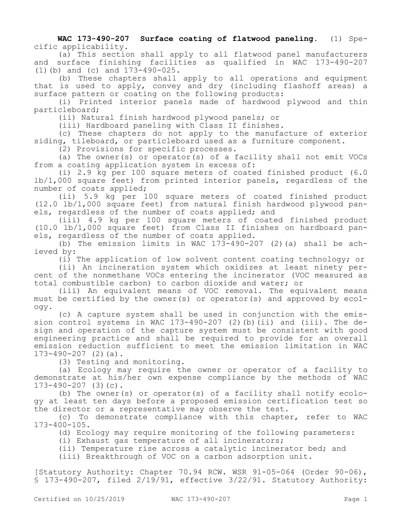**WAC 173-490-207 Surface coating of flatwood paneling.** (1) Specific applicability.

(a) This section shall apply to all flatwood panel manufacturers and surface finishing facilities as qualified in WAC 173-490-207 (1)(b) and (c) and 173-490-025.

(b) These chapters shall apply to all operations and equipment that is used to apply, convey and dry (including flashoff areas) a surface pattern or coating on the following products:

(i) Printed interior panels made of hardwood plywood and thin particleboard;

(ii) Natural finish hardwood plywood panels; or

(iii) Hardboard paneling with Class II finishes.

(c) These chapters do not apply to the manufacture of exterior siding, tileboard, or particleboard used as a furniture component.

(2) Provisions for specific processes.

(a) The owner(s) or operator(s) of a facility shall not emit VOCs from a coating application system in excess of:

(i) 2.9 kg per 100 square meters of coated finished product (6.0 lb/1,000 square feet) from printed interior panels, regardless of the number of coats applied;

(ii) 5.9 kg per 100 square meters of coated finished product (12.0 lb/1,000 square feet) from natural finish hardwood plywood panels, regardless of the number of coats applied; and

(iii) 4.9 kg per 100 square meters of coated finished product (10.0 lb/1,000 square feet) from Class II finishes on hardboard panels, regardless of the number of coats applied.

(b) The emission limits in WAC  $17\overline{3}$ -490-207 (2)(a) shall be achieved by:

(i) The application of low solvent content coating technology; or

(ii) An incineration system which oxidizes at least ninety percent of the nonmethane VOCs entering the incinerator (VOC measured as total combustible carbon) to carbon dioxide and water; or

(iii) An equivalent means of VOC removal. The equivalent means must be certified by the owner(s) or operator(s) and approved by ecology.

(c) A capture system shall be used in conjunction with the emission control systems in WAC 173-490-207 (2)(b)(ii) and (iii). The design and operation of the capture system must be consistent with good engineering practice and shall be required to provide for an overall emission reduction sufficient to meet the emission limitation in WAC  $173-490-207$  (2)(a).

(3) Testing and monitoring.

(a) Ecology may require the owner or operator of a facility to demonstrate at his/her own expense compliance by the methods of WAC 173-490-207 (3)(c).

(b) The owner(s) or operator(s) of a facility shall notify ecology at least ten days before a proposed emission certification test so the director or a representative may observe the test.

(c) To demonstrate compliance with this chapter, refer to WAC 173-400-105.

(d) Ecology may require monitoring of the following parameters:

(i) Exhaust gas temperature of all incinerators;

(ii) Temperature rise across a catalytic incinerator bed; and

(iii) Breakthrough of VOC on a carbon adsorption unit.

[Statutory Authority: Chapter 70.94 RCW. WSR 91-05-064 (Order 90-06), § 173-490-207, filed 2/19/91, effective 3/22/91. Statutory Authority: